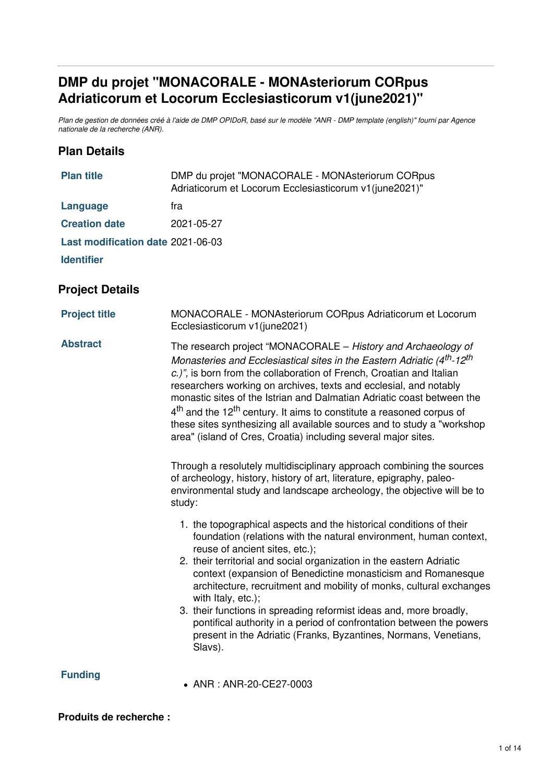# <span id="page-0-0"></span>**DMP du projet "MONACORALE - MONAsteriorum CORpus Adriaticorum et Locorum Ecclesiasticorum v1(june2021)"**

Plan de gestion de données créé à l'aide de DMP OPIDoR, basé sur le modèle "ANR - DMP template (english)" fourni par Agence *nationale de la recherche (ANR).*

### **Plan Details**

| <b>Plan title</b>                 | DMP du projet "MONACORALE - MONAsteriorum CORpus<br>Adriaticorum et Locorum Ecclesiasticorum v1(june2021)"                                                                                                                                                                                                                                                                                                                                                                                                                                                                                                                                                                                                                                                                                                                                                       |  |  |
|-----------------------------------|------------------------------------------------------------------------------------------------------------------------------------------------------------------------------------------------------------------------------------------------------------------------------------------------------------------------------------------------------------------------------------------------------------------------------------------------------------------------------------------------------------------------------------------------------------------------------------------------------------------------------------------------------------------------------------------------------------------------------------------------------------------------------------------------------------------------------------------------------------------|--|--|
| <b>Language</b>                   | fra                                                                                                                                                                                                                                                                                                                                                                                                                                                                                                                                                                                                                                                                                                                                                                                                                                                              |  |  |
| <b>Creation date</b>              | 2021-05-27                                                                                                                                                                                                                                                                                                                                                                                                                                                                                                                                                                                                                                                                                                                                                                                                                                                       |  |  |
| Last modification date 2021-06-03 |                                                                                                                                                                                                                                                                                                                                                                                                                                                                                                                                                                                                                                                                                                                                                                                                                                                                  |  |  |
| <b>Identifier</b>                 |                                                                                                                                                                                                                                                                                                                                                                                                                                                                                                                                                                                                                                                                                                                                                                                                                                                                  |  |  |
| <b>Project Details</b>            |                                                                                                                                                                                                                                                                                                                                                                                                                                                                                                                                                                                                                                                                                                                                                                                                                                                                  |  |  |
| <b>Project title</b>              | MONACORALE - MONAsteriorum CORpus Adriaticorum et Locorum<br>Ecclesiasticorum v1(june2021)                                                                                                                                                                                                                                                                                                                                                                                                                                                                                                                                                                                                                                                                                                                                                                       |  |  |
| <b>Abstract</b>                   | The research project "MONACORALE - History and Archaeology of<br>Monasteries and Ecclesiastical sites in the Eastern Adriatic (4 <sup>th</sup> -12 <sup>th</sup><br>c.)", is born from the collaboration of French, Croatian and Italian<br>researchers working on archives, texts and ecclesial, and notably<br>monastic sites of the Istrian and Dalmatian Adriatic coast between the<br>$4th$ and the 12 <sup>th</sup> century. It aims to constitute a reasoned corpus of<br>these sites synthesizing all available sources and to study a "workshop<br>area" (island of Cres, Croatia) including several major sites.<br>Through a resolutely multidisciplinary approach combining the sources<br>of archeology, history, history of art, literature, epigraphy, paleo-<br>environmental study and landscape archeology, the objective will be to<br>study: |  |  |
|                                   | 1. the topographical aspects and the historical conditions of their<br>foundation (relations with the natural environment, human context,<br>reuse of ancient sites, etc.);<br>2. their territorial and social organization in the eastern Adriatic<br>context (expansion of Benedictine monasticism and Romanesque<br>architecture, recruitment and mobility of monks, cultural exchanges<br>with Italy, etc.);<br>3. their functions in spreading reformist ideas and, more broadly,<br>pontifical authority in a period of confrontation between the powers<br>present in the Adriatic (Franks, Byzantines, Normans, Venetians,<br>Slavs).                                                                                                                                                                                                                    |  |  |
| <b>Funding</b>                    | • ANR: ANR-20-CE27-0003                                                                                                                                                                                                                                                                                                                                                                                                                                                                                                                                                                                                                                                                                                                                                                                                                                          |  |  |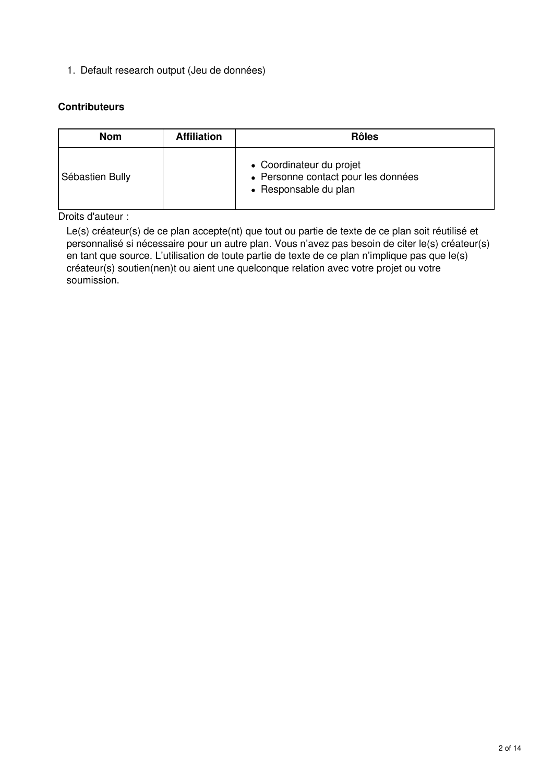1. Default research output (Jeu de données)

#### **Contributeurs**

| <b>Nom</b>      | <b>Affiliation</b> | <b>Rôles</b>                                                                             |
|-----------------|--------------------|------------------------------------------------------------------------------------------|
| Sébastien Bully |                    | • Coordinateur du projet<br>• Personne contact pour les données<br>• Responsable du plan |

Droits d'auteur :

Le(s) créateur(s) de ce plan accepte(nt) que tout ou partie de texte de ce plan soit réutilisé et personnalisé si nécessaire pour un autre plan. Vous n'avez pas besoin de citer le(s) créateur(s) en tant que source. L'utilisation de toute partie de texte de ce plan n'implique pas que le(s) créateur(s) soutien(nen)t ou aient une quelconque relation avec votre projet ou votre soumission.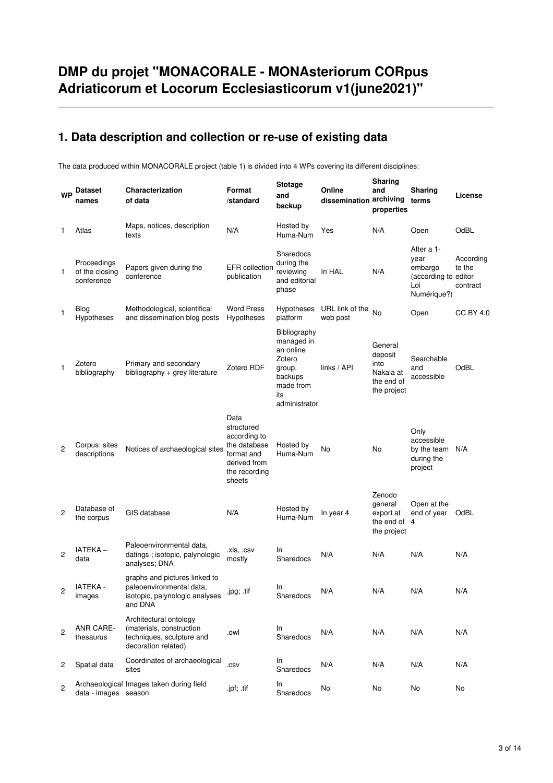# **DMP du projet "MONACORALE - MONAsteriorum CORpus Adriaticorum et Locorum Ecclesiasticorum v1(june2021)"**

## **1. Data description and collection or re-use of existing data**

The data produced within MONACORALE project (table 1) is divided into 4 WPs covering its different disciplines:

| <b>WP</b>      | <b>Dataset</b><br>names                     | Characterization<br>of data                                                                            | Format<br>/standard                                                                                         | <b>Stotage</b><br>and<br>backup                                                                             | Online<br>dissemination archiving | Sharing<br>and<br>properties                                         | Sharing<br>terms                                                            | License                         |
|----------------|---------------------------------------------|--------------------------------------------------------------------------------------------------------|-------------------------------------------------------------------------------------------------------------|-------------------------------------------------------------------------------------------------------------|-----------------------------------|----------------------------------------------------------------------|-----------------------------------------------------------------------------|---------------------------------|
| $\mathbf{1}$   | Atlas                                       | Maps, notices, description<br>texts                                                                    | N/A                                                                                                         | Hosted by<br>Huma-Num                                                                                       | Yes                               | N/A                                                                  | Open                                                                        | OdBL                            |
| 1              | Proceedings<br>of the closing<br>conference | Papers given during the<br>conference                                                                  | <b>EFR</b> collection<br>publication                                                                        | Sharedocs<br>during the<br>reviewing<br>and editorial<br>phase                                              | In HAL                            | N/A                                                                  | After a 1-<br>year<br>embargo<br>(according to editor<br>Loi<br>Numérique?) | According<br>to the<br>contract |
| 1              | <b>Blog</b><br>Hypotheses                   | Methodological, scientifical<br>and dissemination blog posts                                           | <b>Word Press</b><br>Hypotheses                                                                             | <b>Hypotheses</b><br>platform                                                                               | URL link of the<br>web post       | No                                                                   | Open                                                                        | <b>CC BY 4.0</b>                |
| 1              | Zotero<br>bibliography                      | Primary and secondary<br>bibliography $+$ grey literature                                              | Zotero RDF                                                                                                  | Bibliography<br>managed in<br>an online<br>Zotero<br>group,<br>backups<br>made from<br>its<br>administrator | links / API                       | General<br>deposit<br>into<br>Nakala at<br>the end of<br>the project | Searchable<br>and<br>accessible                                             | OdBL                            |
| 2              | Corpus: sites<br>descriptions               | Notices of archaeological sites                                                                        | Data<br>structured<br>according to<br>the database<br>format and<br>derived from<br>the recording<br>sheets | Hosted by<br>Huma-Num                                                                                       | No                                | No                                                                   | Only<br>accessible<br>by the team<br>during the<br>project                  | N/A                             |
| $\overline{c}$ | Database of<br>the corpus                   | GIS database                                                                                           | N/A                                                                                                         | Hosted by<br>Huma-Num                                                                                       | In year 4                         | Zenodo<br>general<br>export at<br>the end of<br>the project          | Open at the<br>end of year<br>$\overline{4}$                                | OdBL                            |
| $\overline{c}$ | IATEKA-<br>data                             | Paleoenvironmental data,<br>datings; isotopic, palynologic<br>analyses; DNA                            | .xls, .csv<br>mostly                                                                                        | In<br>Sharedocs                                                                                             | N/A                               | N/A                                                                  | N/A                                                                         | N/A                             |
| 2              | <b>IATEKA -</b><br>images                   | graphs and pictures linked to<br>paleoenvironmental data,<br>isotopic, palynologic analyses<br>and DNA | .jpg; .tif                                                                                                  | In<br>Sharedocs                                                                                             | N/A                               | N/A                                                                  | N/A                                                                         | N/A                             |
| 2              | ANR CARE-<br>thesaurus                      | Architectural ontology<br>(materials, construction<br>techniques, sculpture and<br>decoration related) | .owl                                                                                                        | In<br>Sharedocs                                                                                             | N/A                               | N/A                                                                  | N/A                                                                         | N/A                             |
| 2              | Spatial data                                | Coordinates of archaeological<br>sites                                                                 | .csv                                                                                                        | In<br>Sharedocs                                                                                             | N/A                               | N/A                                                                  | N/A                                                                         | N/A                             |
| $\mathbf{2}$   | data - images season                        | Archaeological Images taken during field                                                               | .jpf; .tif                                                                                                  | ln.<br>Sharedocs                                                                                            | No                                | No                                                                   | No                                                                          | No                              |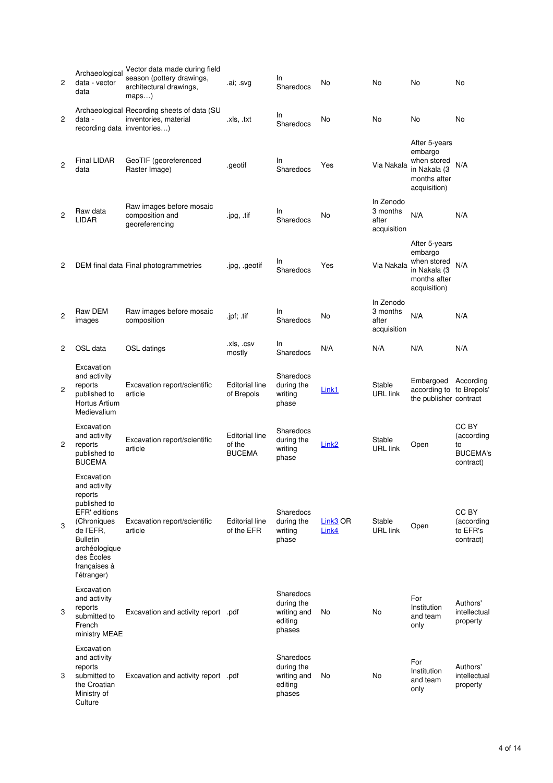| 2              | Archaeological<br>data - vector<br>data                                                                                                                                             | Vector data made during field<br>season (pottery drawings,<br>architectural drawings,<br>$maps$ ) | .ai; .svg                                        | In.<br>Sharedocs                                            | No                | No                                            | No                                                                                      | No                                                        |
|----------------|-------------------------------------------------------------------------------------------------------------------------------------------------------------------------------------|---------------------------------------------------------------------------------------------------|--------------------------------------------------|-------------------------------------------------------------|-------------------|-----------------------------------------------|-----------------------------------------------------------------------------------------|-----------------------------------------------------------|
| 2              | data -<br>recording data inventories)                                                                                                                                               | Archaeological Recording sheets of data (SU<br>inventories, material                              | .xls, .txt                                       | In<br>Sharedocs                                             | No                | No                                            | No                                                                                      | No                                                        |
| $\overline{2}$ | Final LIDAR<br>data                                                                                                                                                                 | GeoTIF (georeferenced<br>Raster Image)                                                            | .geotif                                          | In<br>Sharedocs                                             | Yes               | Via Nakala                                    | After 5-years<br>embargo<br>when stored<br>in Nakala (3<br>months after<br>acquisition) | N/A                                                       |
| $\overline{2}$ | Raw data<br>LIDAR                                                                                                                                                                   | Raw images before mosaic<br>composition and<br>georeferencing                                     | .jpg, .tif                                       | In<br>Sharedocs                                             | No                | In Zenodo<br>3 months<br>after<br>acquisition | N/A                                                                                     | N/A                                                       |
| 2              |                                                                                                                                                                                     | DEM final data Final photogrammetries                                                             | .jpg, geotif                                     | In<br>Sharedocs                                             | Yes               | Via Nakala                                    | After 5-years<br>embargo<br>when stored<br>in Nakala (3<br>months after<br>acquisition) | N/A                                                       |
| $\overline{2}$ | Raw DEM<br>images                                                                                                                                                                   | Raw images before mosaic<br>composition                                                           | .jpf; .tif                                       | In<br>Sharedocs                                             | No                | In Zenodo<br>3 months<br>after<br>acquisition | N/A                                                                                     | N/A                                                       |
| 2              | OSL data                                                                                                                                                                            | OSL datings                                                                                       | .xls, .csv<br>mostly                             | In<br>Sharedocs                                             | N/A               | N/A                                           | N/A                                                                                     | N/A                                                       |
| 2              | Excavation<br>and activity<br>reports<br>published to<br>Hortus Artium<br>Medievalium                                                                                               | Excavation report/scientific<br>article                                                           | <b>Editorial line</b><br>of Brepols              | Sharedocs<br>during the<br>writing<br>phase                 | Link1             | Stable<br><b>URL</b> link                     | Embargoed According<br>according to to Brepols'<br>the publisher contract               |                                                           |
| 2              | Excavation<br>and activity<br>reports<br>published to<br><b>BUCEMA</b>                                                                                                              | Excavation report/scientific<br>article                                                           | <b>Editorial line</b><br>of the<br><b>BUCEMA</b> | Sharedocs<br>during the<br>writing<br>phase                 | Link <sub>2</sub> | Stable<br><b>URL</b> link                     | Open                                                                                    | CC BY<br>(according<br>to<br><b>BUCEMA's</b><br>contract) |
| 3              | Excavation<br>and activity<br>reports<br>published to<br>EFR' editions<br>(Chroniques<br>de l'EFR,<br><b>Bulletin</b><br>archéologique<br>des Ecoles<br>françaises à<br>l'étranger) | Excavation report/scientific<br>article                                                           | <b>Editorial line</b><br>of the EFR              | Sharedocs<br>during the<br>writing<br>phase                 | Link3 OR<br>Link4 | Stable<br><b>URL</b> link                     | Open                                                                                    | CC BY<br>(according<br>to EFR's<br>contract)              |
| 3              | Excavation<br>and activity<br>reports<br>submitted to<br>French<br>ministry MEAE                                                                                                    | Excavation and activity report .pdf                                                               |                                                  | Sharedocs<br>during the<br>writing and<br>editing<br>phases | No                | No                                            | For<br>Institution<br>and team<br>only                                                  | Authors'<br>intellectual<br>property                      |
| 3              | Excavation<br>and activity<br>reports<br>submitted to<br>the Croatian<br>Ministry of<br>Culture                                                                                     | Excavation and activity report .pdf                                                               |                                                  | Sharedocs<br>during the<br>writing and<br>editing<br>phases | No                | No                                            | For<br>Institution<br>and team<br>only                                                  | Authors'<br>intellectual<br>property                      |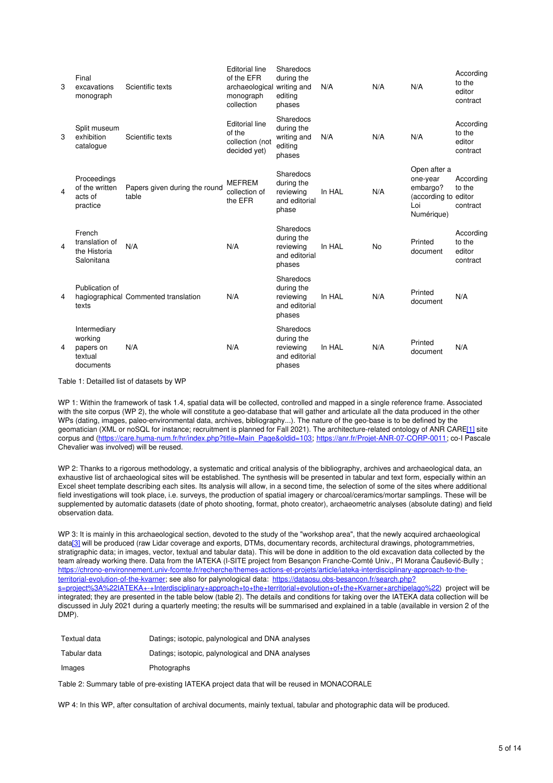| 3 | Final<br>excavations<br>monograph                            | Scientific texts                       | <b>Editorial line</b><br>of the EFR<br>archaeological<br>monograph<br>collection | Sharedocs<br>during the<br>writing and<br>editina<br>phases     | N/A    | N/A | N/A                                                                               | According<br>to the<br>editor<br>contract |
|---|--------------------------------------------------------------|----------------------------------------|----------------------------------------------------------------------------------|-----------------------------------------------------------------|--------|-----|-----------------------------------------------------------------------------------|-------------------------------------------|
| 3 | Split museum<br>exhibition<br>catalogue                      | Scientific texts                       | <b>Editorial line</b><br>of the<br>collection (not<br>decided yet)               | Sharedocs<br>during the<br>writing and<br>editing<br>phases     | N/A    | N/A | N/A                                                                               | According<br>to the<br>editor<br>contract |
| 4 | Proceedings<br>of the written<br>acts of<br>practice         | Papers given during the round<br>table | <b>MEFREM</b><br>collection of<br>the EFR                                        | Sharedocs<br>during the<br>reviewing<br>and editorial<br>phase  | In HAL | N/A | Open after a<br>one-year<br>embargo?<br>(according to editor<br>Loi<br>Numérique) | According<br>to the<br>contract           |
| 4 | French<br>translation of<br>the Historia<br>Salonitana       | N/A                                    | N/A                                                                              | Sharedocs<br>during the<br>reviewing<br>and editorial<br>phases | In HAL | No  | Printed<br>document                                                               | According<br>to the<br>editor<br>contract |
| 4 | Publication of<br>texts                                      | hagiographical Commented translation   | N/A                                                                              | Sharedocs<br>during the<br>reviewing<br>and editorial<br>phases | In HAL | N/A | Printed<br>document                                                               | N/A                                       |
| 4 | Intermediary<br>working<br>papers on<br>textual<br>documents | N/A                                    | N/A                                                                              | Sharedocs<br>during the<br>reviewing<br>and editorial<br>phases | In HAL | N/A | Printed<br>document                                                               | N/A                                       |

Table 1: Detailled list of datasets by WP

<span id="page-4-0"></span>WP 1: Within the framework of task 1.4, spatial data will be collected, controlled and mapped in a single reference frame. Associated with the site corpus (WP 2), the whole will constitute a geo-database that will gather and articulate all the data produced in the other WPs (dating, images, paleo-environmental data, archives, bibliography...). The nature of the geo-base is to be defined by the geomatician (XML or noSQL for instance; recruitment is planned for Fall 2021). The architecture-related ontology of ANR CAR[E\[1\]](#page-0-0) site corpus and ([https://care.huma-num.fr/hr/index.php?title=Main\\_Page&oldid=103](https://care.huma-num.fr/hr/index.php?title=Main_Page&oldid=103); <https://anr.fr/Projet-ANR-07-CORP-0011>; co-I Pascale Chevalier was involved) will be reused.

WP 2: Thanks to a rigorous methodology, a systematic and critical analysis of the bibliography, archives and archaeological data, an exhaustive list of archaeological sites will be established. The synthesis will be presented in tabular and text form, especially within an Excel sheet template describing each sites. Its analysis will allow, in a second time, the selection of some of the sites where additional field investigations will took place, i.e. surveys, the production of spatial imagery or charcoal/ceramics/mortar samplings. These will be supplemented by automatic datasets (date of photo shooting, format, photo creator), archaeometric analyses (absolute dating) and field observation data.

WP 3: It is mainly in this archaeological section, devoted to the study of the "workshop area", that the newly acquired archaeological dat[a\[3\]](#page-0-0) will be produced (raw Lidar coverage and exports, DTMs, documentary records, architectural drawings, photogrammetries, stratigraphic data; in images, vector, textual and tabular data). This will be done in addition to the old excavation data collected by the team already working there. Data from the IATEKA (I-SITE project from Besançon Franche-Comté Univ., PI Morana Čaušević-Bully ; [https://chrono-environnement.univ-fcomte.fr/recherche/themes-actions-et-projets/article/iateka-interdisciplinary-approach-to-the](https://chrono-environnement.univ-fcomte.fr/recherche/themes-actions-et-projets/article/iateka-interdisciplinary-approach-to-the-territorial-evolution-of-the-kvarner)territorial-evolution-of-the-kvarner; see also for palynological data: https://dataosu.obs-besancon.fr/search.php? [s=project%3A%22IATEKA+-+Interdisciplinary+approach+to+the+territorial+evolution+of+the+Kvarner+archipelago%22](https://dataosu.obs-besancon.fr/search.php?s=project%253A%2522IATEKA+-+Interdisciplinary+approach+to+the+territorial+evolution+of+the+Kvarner+archipelago%2522)) project will be integrated; they are presented in the table below (table 2). The details and conditions for taking over the IATEKA data collection will be discussed in July 2021 during a quarterly meeting; the results will be summarised and explained in a table (available in version 2 of the DMP).

| Textual data | Datings; isotopic, palynological and DNA analyses |
|--------------|---------------------------------------------------|
| Tabular data | Datings; isotopic, palynological and DNA analyses |
| Images       | Photographs                                       |

Table 2: Summary table of pre-existing IATEKA project data that will be reused in MONACORALE

WP 4: In this WP, after consultation of archival documents, mainly textual, tabular and photographic data will be produced.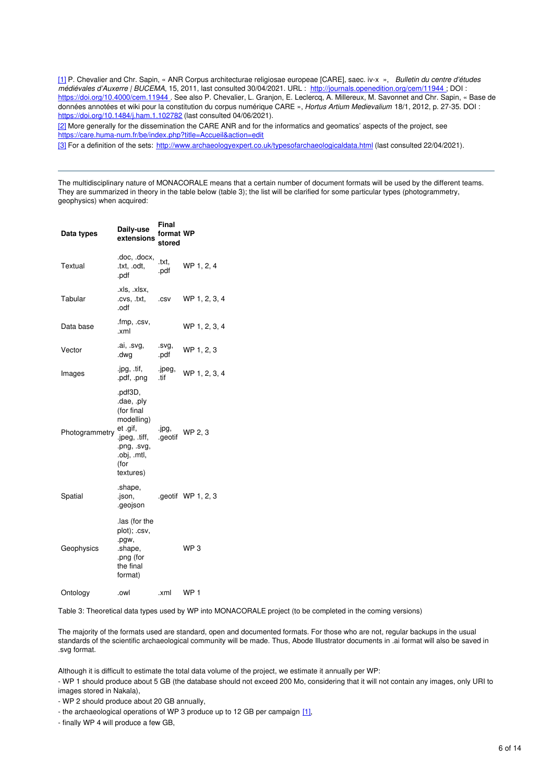[\[1\]](#page-4-0) P. Chevalier and Chr. Sapin, « ANR Corpus architecturae religiosae europeae [CARE], saec. iv-x », *Bulletin du centre d'études médiévales d'Auxerre | BUCEMA*, 15, 2011, last consulted 30/04/2021. URL : <http://journals.openedition.org/cem/11944> ; DOI : <https://doi.org/10.4000/cem.11944> . See also P. Chevalier, L. Granjon, E. Leclercq, A. Millereux, M. Savonnet and Chr. Sapin, « Base de données annotées et wiki pour la constitution du corpus numérique CARE », *Hortus Artium Medievalium* 18/1, 2012, p. 27-35. DOI : [https://doi.org/10.1484/j.ham.1.102782](https://doi.org/10.1484/J.HAM.1.102782) (last consulted 04/06/2021).

[2] More generally for the dissemination the CARE ANR and for the informatics and geomatics' aspects of the project, see <https://care.huma-num.fr/be/index.php?title=Accueil&action=edit>

[\[3\]](#page-4-0) For a definition of the sets: <http://www.archaeologyexpert.co.uk/typesofarchaeologicaldata.html> (last consulted 22/04/2021).

The multidisciplinary nature of MONACORALE means that a certain number of document formats will be used by the different teams. They are summarized in theory in the table below (table 3); the list will be clarified for some particular types (photogrammetry, geophysics) when acquired:

| Data types     | Daily-use<br>extensions                                                                                                           | Final<br>format WP<br>stored |                    |
|----------------|-----------------------------------------------------------------------------------------------------------------------------------|------------------------------|--------------------|
| Textual        | .doc, .docx,<br>.txt, .odt,<br>.pdf                                                                                               | .txt.<br>.pdf                | WP 1, 2, 4         |
| Tabular        | .xls, .xlsx,<br>.cvs, .txt,<br>.odf                                                                                               | .csv                         | WP 1, 2, 3, 4      |
| Data base      | .fmp, .csv,<br>.xml                                                                                                               |                              | WP 1, 2, 3, 4      |
| Vector         | .ai, .svg,<br>.dwg                                                                                                                | .svg,<br>.pdf                | WP 1, 2, 3         |
| Images         | .jpg, .tif,<br>.pdf, .png                                                                                                         | .jpeg,<br>.tif               | WP 1, 2, 3, 4      |
| Photogrammetry | .pdf3D,<br>.dae, .ply<br>(for final<br>modelling)<br>et .gif,<br>.jpeg, .tiff,<br>.png, .svg,<br>.obj, .mtl,<br>(for<br>textures) | .jpg,<br>.geotif             | WP 2, 3            |
| Spatial        | .shape,<br>.json,<br>.geojson                                                                                                     |                              | .geotif WP 1, 2, 3 |
| Geophysics     | las (for the<br>plot); .csv,<br>.pgw,<br>.shape,<br>.png (for<br>the final<br>format)                                             |                              | WP <sub>3</sub>    |
| Ontology       | .owl                                                                                                                              | .xml                         | WP <sub>1</sub>    |

Table 3: Theoretical data types used by WP into MONACORALE project (to be completed in the coming versions)

The majority of the formats used are standard, open and documented formats. For those who are not, regular backups in the usual standards of the scientific archaeological community will be made. Thus, Abode Illustrator documents in .ai format will also be saved in .svg format.

Although it is difficult to estimate the total data volume of the project, we estimate it annually per WP:

- WP 1 should produce about 5 GB (the database should not exceed 200 Mo, considering that it will not contain any images, only URI to images stored in Nakala),

- WP 2 should produce about 20 GB annually,

- the archaeological operations of WP 3 produce up to 12 GB per campaign [\[1\]](#page-0-0),

- finally WP 4 will produce a few GB,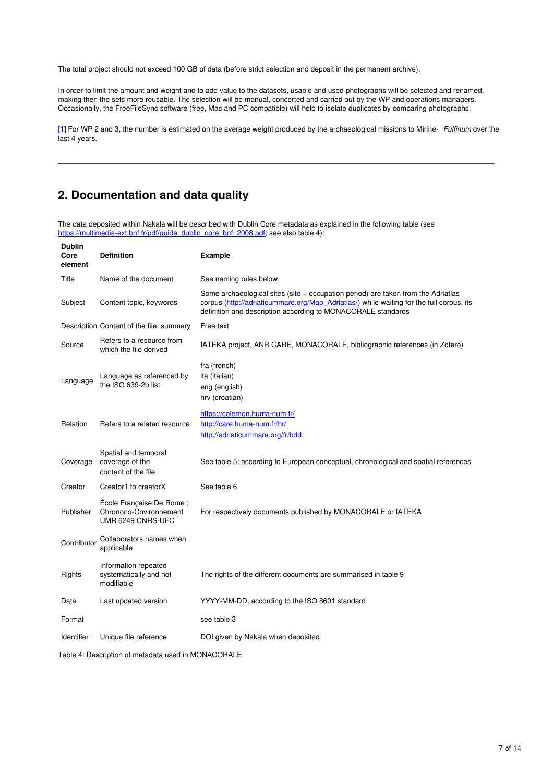The total project should not exceed 100 GB of data (before strict selection and deposit in the permanent archive).

In order to limit the amount and weight and to add value to the datasets, usable and used photographs will be selected and renamed, making then the sets more reusable. The selection will be manual, concerted and carried out by the WP and operations managers. Occasionally, the FreeFileSync software (free, Mac and PC compatible) will help to isolate duplicates by comparing photographs.

[\[1\]](#page-4-0) For WP 2 and 3, the number is estimated on the average weight produced by the archaeological missions to Mirine- *Fulfinum* over the last 4 years.

# **2. Documentation and data quality**

The data deposited within Nakala will be described with Dublin Core metadata as explained in the following table (see [https://multimedia-ext.bnf.fr/pdf/guide\\_dublin\\_core\\_bnf\\_2008.pdf](https://multimedia-ext.bnf.fr/pdf/guide_dublin_core_bnf_2008.pdf); see also table 4):

| <b>Definition</b>                                                       | <b>Example</b>                                                                                                                                                                                                                                  |
|-------------------------------------------------------------------------|-------------------------------------------------------------------------------------------------------------------------------------------------------------------------------------------------------------------------------------------------|
| Name of the document                                                    | See naming rules below                                                                                                                                                                                                                          |
| Content topic, keywords                                                 | Some archaeological sites (site $+$ occupation period) are taken from the Adriatlas<br>corpus (http://adriaticummare.org/Map_Adriatlas/) while waiting for the full corpus, its<br>definition and description according to MONACORALE standards |
|                                                                         | Free text                                                                                                                                                                                                                                       |
| Refers to a resource from<br>which the file derived                     | IATEKA project, ANR CARE, MONACORALE, bibliographic references (in Zotero)                                                                                                                                                                      |
| Language as referenced by<br>the ISO 639-2b list                        | fra (french)<br>ita (italian)<br>eng (english)<br>hrv (croatian)                                                                                                                                                                                |
| Refers to a related resource                                            | https://colemon.huma-num.fr/<br>http://care.huma-num.fr/hr/<br>http://adriaticummare.org/fr/bdd                                                                                                                                                 |
| Spatial and temporal<br>coverage of the<br>content of the file          | See table 5; according to European conceptual, chronological and spatial references                                                                                                                                                             |
| Creator1 to creatorX                                                    | See table 6                                                                                                                                                                                                                                     |
| École Française De Rome;<br>Chronono-Cnvironnement<br>UMR 6249 CNRS-UFC | For respectively documents published by MONACORALE or IATEKA                                                                                                                                                                                    |
| Collaborators names when<br>applicable                                  |                                                                                                                                                                                                                                                 |
| Information repeated<br>systematically and not<br>modifiable            | The rights of the different documents are summarised in table 9                                                                                                                                                                                 |
| Last updated version                                                    | YYYY-MM-DD, according to the ISO 8601 standard                                                                                                                                                                                                  |
|                                                                         | see table 3                                                                                                                                                                                                                                     |
| Unique file reference                                                   | DOI given by Nakala when deposited                                                                                                                                                                                                              |
|                                                                         | Description Content of the file, summary<br>Contributor                                                                                                                                                                                         |

Table 4: Description of metadata used in MONACORALE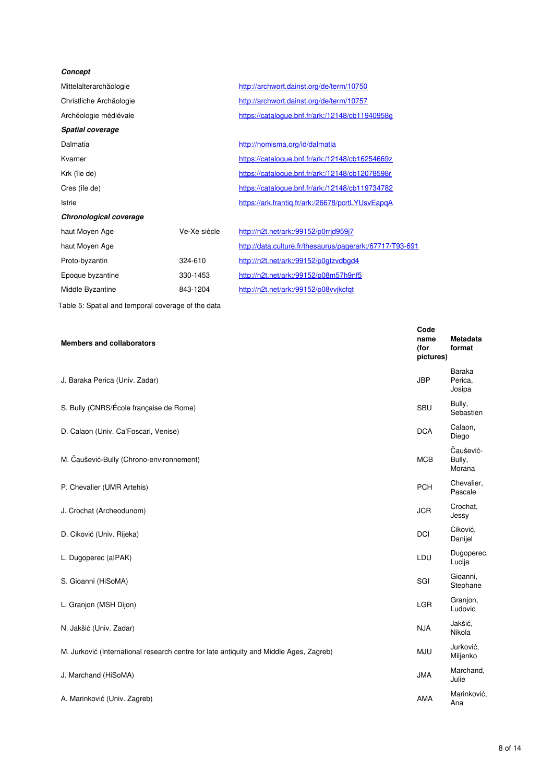| Concept                 |              |                                                          |
|-------------------------|--------------|----------------------------------------------------------|
| Mittelalterarchäologie  |              | http://archwort.dainst.org/de/term/10750                 |
| Christliche Archäologie |              | http://archwort.dainst.org/de/term/10757                 |
| Archéologie médiévale   |              | https://catalogue.bnf.fr/ark:/12148/cb11940958q          |
| <b>Spatial coverage</b> |              |                                                          |
| Dalmatia                |              | http://nomisma.org/id/dalmatia                           |
| Kvarner                 |              | https://catalogue.bnf.fr/ark:/12148/cb16254669z          |
| Krk (île de)            |              | https://catalogue.bnf.fr/ark:/12148/cb12078598r          |
| Cres (île de)           |              | https://catalogue.bnf.fr/ark:/12148/cb119734782          |
| Istrie                  |              | https://ark.frantiq.fr/ark:/26678/pcrtLYUsvEapqA         |
| Chronological coverage  |              |                                                          |
| haut Moyen Age          | Ve-Xe siècle | http://n2t.net/ark:/99152/p0rrjd959j7                    |
| haut Moyen Age          |              | http://data.culture.fr/thesaurus/page/ark:/67717/T93-691 |
| Proto-byzantin          | 324-610      | http://n2t.net/ark:/99152/p0gtzvdbgd4                    |
| Epoque byzantine        | 330-1453     | http://n2t.net/ark:/99152/p08m57h9nf5                    |
| Middle Byzantine        | 843-1204     | http://n2t.net/ark:/99152/p08vvjkcfqt                    |
|                         |              |                                                          |

Table 5: Spatial and temporal coverage of the data

| <b>Members and collaborators</b>                                                       | Code<br>name<br>(for<br>pictures) | Metadata<br>format            |
|----------------------------------------------------------------------------------------|-----------------------------------|-------------------------------|
| J. Baraka Perica (Univ. Zadar)                                                         | <b>JBP</b>                        | Baraka<br>Perica,<br>Josipa   |
| S. Bully (CNRS/École française de Rome)                                                | SBU                               | Bully,<br>Sebastien           |
| D. Calaon (Univ. Ca'Foscari, Venise)                                                   | <b>DCA</b>                        | Calaon,<br>Diego              |
| M. Čaušević-Bully (Chrono-environnement)                                               | <b>MCB</b>                        | Čaušević-<br>Bully,<br>Morana |
| P. Chevalier (UMR Artehis)                                                             | <b>PCH</b>                        | Chevalier,<br>Pascale         |
| J. Crochat (Archeodunom)                                                               | <b>JCR</b>                        | Crochat.<br>Jessy             |
| D. Ciković (Univ. Rijeka)                                                              | DCI                               | Ciković,<br>Danijel           |
| L. Dugoperec (alPAK)                                                                   | LDU                               | Dugoperec,<br>Lucija          |
| S. Gioanni (HiSoMA)                                                                    | SGI                               | Gioanni,<br>Stephane          |
| L. Granjon (MSH Dijon)                                                                 | <b>LGR</b>                        | Granjon,<br>Ludovic           |
| N. Jakšić (Univ. Zadar)                                                                | <b>NJA</b>                        | Jakšić,<br>Nikola             |
| M. Jurković (International research centre for late antiquity and Middle Ages, Zagreb) | <b>MJU</b>                        | Jurković,<br>Miljenko         |
| J. Marchand (HiSoMA)                                                                   | <b>JMA</b>                        | Marchand,<br>Julie            |
| A. Marinković (Univ. Zagreb)                                                           | AMA                               | Marinković,<br>Ana            |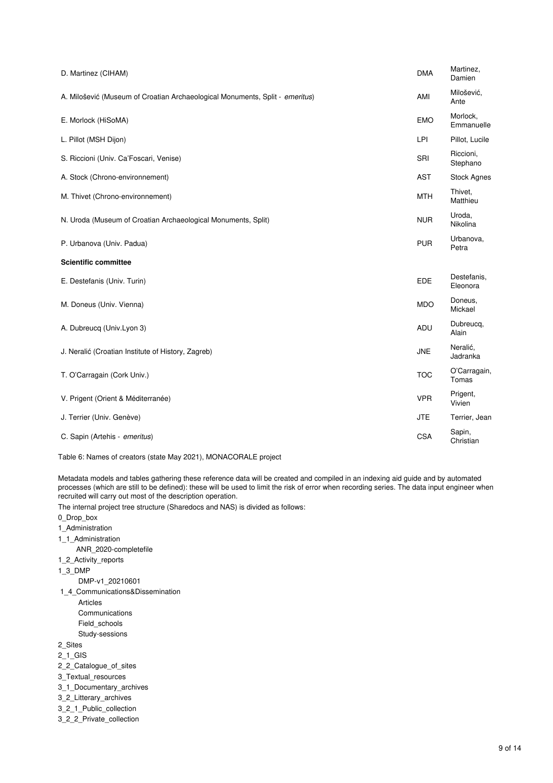| D. Martinez (CIHAM)                                                          | <b>DMA</b> | Martinez,<br>Damien     |
|------------------------------------------------------------------------------|------------|-------------------------|
| A. Milošević (Museum of Croatian Archaeological Monuments, Split - emeritus) | AMI        | Milošević,<br>Ante      |
| E. Morlock (HiSoMA)                                                          | <b>EMO</b> | Morlock,<br>Emmanuelle  |
| L. Pillot (MSH Dijon)                                                        | LPI        | Pillot, Lucile          |
| S. Riccioni (Univ. Ca'Foscari, Venise)                                       | SRI        | Riccioni,<br>Stephano   |
| A. Stock (Chrono-environnement)                                              | <b>AST</b> | <b>Stock Agnes</b>      |
| M. Thivet (Chrono-environnement)                                             | <b>MTH</b> | Thivet,<br>Matthieu     |
| N. Uroda (Museum of Croatian Archaeological Monuments, Split)                | <b>NUR</b> | Uroda,<br>Nikolina      |
| P. Urbanova (Univ. Padua)                                                    | <b>PUR</b> | Urbanova,<br>Petra      |
| <b>Scientific committee</b>                                                  |            |                         |
| E. Destefanis (Univ. Turin)                                                  | EDE        | Destefanis,<br>Eleonora |
| M. Doneus (Univ. Vienna)                                                     | <b>MDO</b> | Doneus,<br>Mickael      |
| A. Dubreucq (Univ.Lyon 3)                                                    | ADU        | Dubreucq,<br>Alain      |
| J. Neralić (Croatian Institute of History, Zagreb)                           | <b>JNE</b> | Neralić,<br>Jadranka    |
| T. O'Carragain (Cork Univ.)                                                  | <b>TOC</b> | O'Carragain,<br>Tomas   |
| V. Prigent (Orient & Méditerranée)                                           | <b>VPR</b> | Prigent,<br>Vivien      |
| J. Terrier (Univ. Genève)                                                    | <b>JTE</b> | Terrier, Jean           |
| C. Sapin (Artehis - emeritus)                                                | <b>CSA</b> | Sapin,<br>Christian     |
|                                                                              |            |                         |

Table 6: Names of creators (state May 2021), MONACORALE project

Metadata models and tables gathering these reference data will be created and compiled in an indexing aid guide and by automated processes (which are still to be defined): these will be used to limit the risk of error when recording series. The data input engineer when recruited will carry out most of the description operation.

The internal project tree structure (Sharedocs and NAS) is divided as follows:

0\_Drop\_box

- 1\_Administration
- 1\_1\_Administration

ANR\_2020-completefile

- 1\_2\_Activity\_reports
- 1\_3\_DMP

DMP-v1\_20210601

- 1\_4\_Communications&Dissemination
	- Articles Communications Field\_schools
	- Study-sessions
- 2\_Sites
- 2\_1\_GIS
- 2\_2\_Catalogue\_of\_sites
- 3\_Textual\_resources
- 3\_1\_Documentary\_archives
- 3\_2\_Litterary\_archives
- 3\_2\_1\_Public\_collection
- 3\_2\_2\_Private\_collection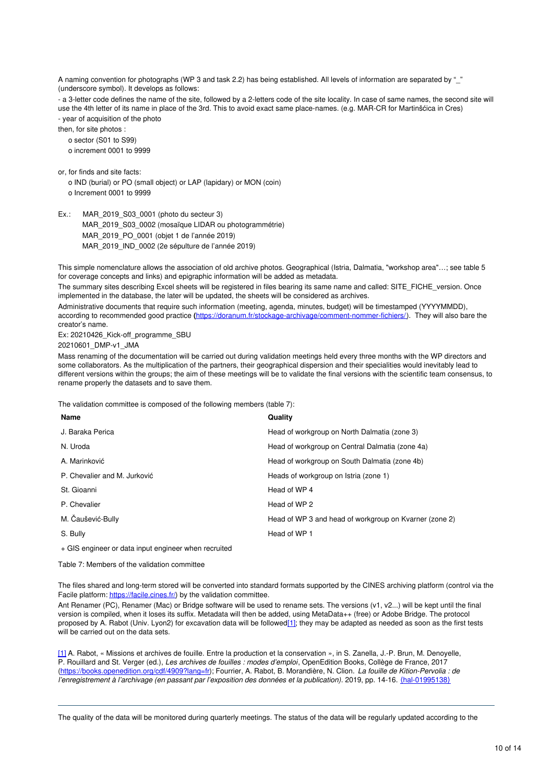A naming convention for photographs (WP 3 and task 2.2) has being established. All levels of information are separated by " (underscore symbol). It develops as follows:

- a 3-letter code defines the name of the site, followed by a 2-letters code of the site locality. In case of same names, the second site will use the 4th letter of its name in place of the 3rd. This to avoid exact same place-names. (e.g. MAR-CR for Martinšćica in Cres) - year of acquisition of the photo

then, for site photos :

o sector (S01 to S99)

o increment 0001 to 9999

or, for finds and site facts:

o IND (burial) or PO (small object) or LAP (lapidary) or MON (coin) o Increment 0001 to 9999

Ex.: MAR 2019 S03 0001 (photo du secteur 3) MAR\_2019\_S03\_0002 (mosaïque LIDAR ou photogrammétrie) MAR\_2019\_PO\_0001 (objet 1 de l'année 2019) MAR\_2019\_IND\_0002 (2e sépulture de l'année 2019)

This simple nomenclature allows the association of old archive photos. Geographical (Istria, Dalmatia, "workshop area"…; see table 5 for coverage concepts and links) and epigraphic information will be added as metadata.

The summary sites describing Excel sheets will be registered in files bearing its same name and called: SITE\_FICHE\_version. Once implemented in the database, the later will be updated, the sheets will be considered as archives.

Administrative documents that require such information (meeting, agenda, minutes, budget) will be timestamped (YYYYMMDD), according to recommended good practice **(**<https://doranum.fr/stockage-archivage/comment-nommer-fichiers/>). They will also bare the creator's name.

Ex: 20210426\_Kick-off\_programme\_SBU

20210601\_DMP-v1\_JMA

Mass renaming of the documentation will be carried out during validation meetings held every three months with the WP directors and some collaborators. As the multiplication of the partners, their geographical dispersion and their specialities would inevitably lead to different versions within the groups; the aim of these meetings will be to validate the final versions with the scientific team consensus, to rename properly the datasets and to save them.

The validation committee is composed of the following members (table 7):

| Name                         | Quality                                                |
|------------------------------|--------------------------------------------------------|
| J. Baraka Perica             | Head of workgroup on North Dalmatia (zone 3)           |
| N. Uroda                     | Head of workgroup on Central Dalmatia (zone 4a)        |
| A. Marinković                | Head of workgroup on South Dalmatia (zone 4b)          |
| P. Chevalier and M. Jurković | Heads of workgroup on Istria (zone 1)                  |
| St. Gioanni                  | Head of WP 4                                           |
| P. Chevalier                 | Head of WP 2                                           |
| M. Čaušević-Bully            | Head of WP 3 and head of workgroup on Kvarner (zone 2) |
| S. Bully                     | Head of WP 1                                           |

+ GIS engineer or data input engineer when recruited

Table 7: Members of the validation committee

The files shared and long-term stored will be converted into standard formats supported by the CINES archiving platform (control via the Facile platform: <https://facile.cines.fr/>) by the validation committee.

Ant Renamer (PC), Renamer (Mac) or Bridge software will be used to rename sets. The versions (v1, v2...) will be kept until the final version is compiled, when it loses its suffix. Metadata will then be added, using MetaData++ (free) or Adobe Bridge. The protocol proposed by A. Rabot (Univ. Lyon2) for excavation data will be followe[d\[1\]](#page-0-0); they may be adapted as needed as soon as the first tests will be carried out on the data sets.

[\[1\]](#page-4-0) A. Rabot, « Missions et archives de fouille. Entre la production et la conservation », in S. Zanella, J.-P. Brun, M. Denoyelle, P. Rouillard and St. Verger (ed.), *Les archives de fouilles : modes d'emploi*, OpenEdition Books, Collège de France, 2017 [\(https://books.openedition.org/cdf/4909?lang=fr](https://books.openedition.org/cdf/4909?lang=fr)); Fourrier, A. Rabot, B. Morandière, N. Clion. *La fouille de Kition-Pervolia : de l'enregistrement à l'archivage (en passant par l'exposition des données et la publication)*. 2019, pp. 14-16. ⟨[hal-01995138](https://hal.archives-ouvertes.fr/hal-01995138)⟩

The quality of the data will be monitored during quarterly meetings. The status of the data will be regularly updated according to the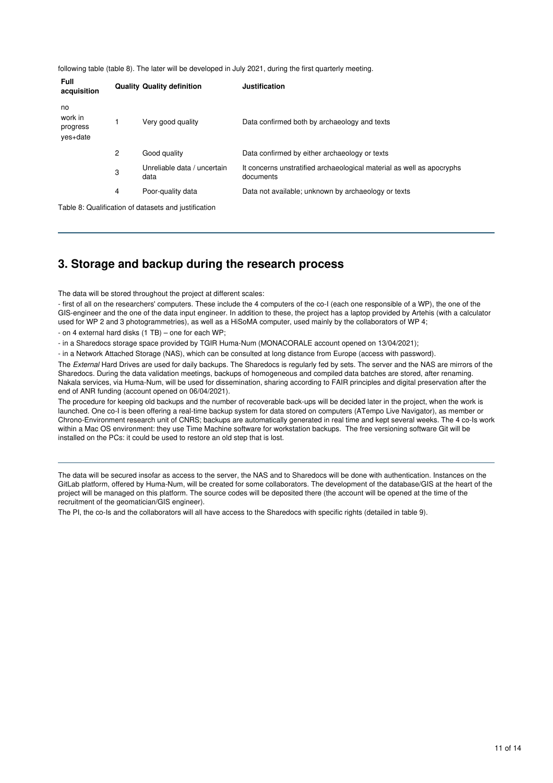following table (table 8). The later will be developed in July 2021, during the first quarterly meeting.

| Data confirmed both by archaeology and texts                                       |
|------------------------------------------------------------------------------------|
| Data confirmed by either archaeology or texts                                      |
| It concerns unstratified archaeological material as well as apocryphs<br>documents |
| Data not available; unknown by archaeology or texts                                |
|                                                                                    |
| Unreliable data / uncertain                                                        |

### **3. Storage and backup during the research process**

The data will be stored throughout the project at different scales:

- first of all on the researchers' computers. These include the 4 computers of the co-I (each one responsible of a WP), the one of the GIS-engineer and the one of the data input engineer. In addition to these, the project has a laptop provided by Artehis (with a calculator used for WP 2 and 3 photogrammetries), as well as a HiSoMA computer, used mainly by the collaborators of WP 4;

- on 4 external hard disks (1 TB) – one for each WP;

- in a Sharedocs storage space provided by TGIR Huma-Num (MONACORALE account opened on 13/04/2021);

- in a Network Attached Storage (NAS), which can be consulted at long distance from Europe (access with password).

The *External* Hard Drives are used for daily backups. The Sharedocs is regularly fed by sets. The server and the NAS are mirrors of the Sharedocs. During the data validation meetings, backups of homogeneous and compiled data batches are stored, after renaming. Nakala services, via Huma-Num, will be used for dissemination, sharing according to FAIR principles and digital preservation after the end of ANR funding (account opened on 06/04/2021).

The procedure for keeping old backups and the number of recoverable back-ups will be decided later in the project, when the work is launched. One co-I is been offering a real-time backup system for data stored on computers (ATempo Live Navigator), as member or Chrono-Environment research unit of CNRS; backups are automatically generated in real time and kept several weeks. The 4 co-Is work within a Mac OS environment: they use Time Machine software for workstation backups. The free versioning software Git will be installed on the PCs: it could be used to restore an old step that is lost.

The data will be secured insofar as access to the server, the NAS and to Sharedocs will be done with authentication. Instances on the GitLab platform, offered by Huma-Num, will be created for some collaborators. The development of the database/GIS at the heart of the project will be managed on this platform. The source codes will be deposited there (the account will be opened at the time of the recruitment of the geomatician/GIS engineer).

The PI, the co-Is and the collaborators will all have access to the Sharedocs with specific rights (detailed in table 9).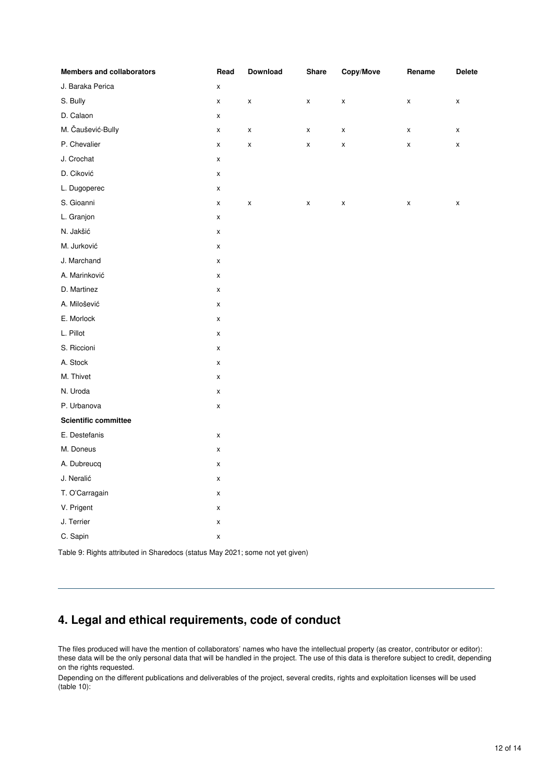| <b>Members and collaborators</b> | Read               | Download | Share              | Copy/Move          | Rename | <b>Delete</b> |
|----------------------------------|--------------------|----------|--------------------|--------------------|--------|---------------|
| J. Baraka Perica                 | $\pmb{\mathsf{X}}$ |          |                    |                    |        |               |
| S. Bully                         | $\pmb{\times}$     | X        | $\pmb{\mathsf{x}}$ | $\pmb{\mathsf{X}}$ | X      | X             |
| D. Calaon                        | $\pmb{\mathsf{x}}$ |          |                    |                    |        |               |
| M. Čaušević-Bully                | $\pmb{\mathsf{X}}$ | X        | $\pmb{\mathsf{x}}$ | $\pmb{\mathsf{x}}$ | X      | X             |
| P. Chevalier                     | $\pmb{\mathsf{X}}$ | X        | $\pmb{\mathsf{X}}$ | $\pmb{\mathsf{X}}$ | X      | X             |
| J. Crochat                       | $\pmb{\mathsf{X}}$ |          |                    |                    |        |               |
| D. Ciković                       | $\pmb{\mathsf{x}}$ |          |                    |                    |        |               |
| L. Dugoperec                     | $\pmb{\mathsf{x}}$ |          |                    |                    |        |               |
| S. Gioanni                       | X                  | X        | x                  | $\pmb{\mathsf{X}}$ | X      | X             |
| L. Granjon                       | X                  |          |                    |                    |        |               |
| N. Jakšić                        | $\pmb{\mathsf{X}}$ |          |                    |                    |        |               |
| M. Jurković                      | $\pmb{\mathsf{X}}$ |          |                    |                    |        |               |
| J. Marchand                      | $\pmb{\mathsf{X}}$ |          |                    |                    |        |               |
| A. Marinković                    | $\pmb{\mathsf{X}}$ |          |                    |                    |        |               |
| D. Martinez                      | $\pmb{\mathsf{x}}$ |          |                    |                    |        |               |
| A. Milošević                     | $\pmb{\times}$     |          |                    |                    |        |               |
| E. Morlock                       | $\pmb{\mathsf{X}}$ |          |                    |                    |        |               |
| L. Pillot                        | $\pmb{\mathsf{X}}$ |          |                    |                    |        |               |
| S. Riccioni                      | $\pmb{\mathsf{X}}$ |          |                    |                    |        |               |
| A. Stock                         | $\pmb{\mathsf{X}}$ |          |                    |                    |        |               |
| M. Thivet                        | $\pmb{\mathsf{X}}$ |          |                    |                    |        |               |
| N. Uroda                         | $\pmb{\mathsf{X}}$ |          |                    |                    |        |               |
| P. Urbanova                      | $\pmb{\mathsf{X}}$ |          |                    |                    |        |               |
| <b>Scientific committee</b>      |                    |          |                    |                    |        |               |
| E. Destefanis                    | $\pmb{\mathsf{X}}$ |          |                    |                    |        |               |
| M. Doneus                        | $\pmb{\mathsf{X}}$ |          |                    |                    |        |               |
| A. Dubreucq                      | $\pmb{\mathsf{X}}$ |          |                    |                    |        |               |
| J. Neralić                       | $\pmb{\mathsf{X}}$ |          |                    |                    |        |               |
| T. O'Carragain                   | $\pmb{\mathsf{X}}$ |          |                    |                    |        |               |
| V. Prigent                       | X                  |          |                    |                    |        |               |
| J. Terrier                       | $\pmb{\mathsf{X}}$ |          |                    |                    |        |               |
| C. Sapin                         | X                  |          |                    |                    |        |               |

Table 9: Rights attributed in Sharedocs (status May 2021; some not yet given)

# **4. Legal and ethical requirements, code of conduct**

The files produced will have the mention of collaborators' names who have the intellectual property (as creator, contributor or editor): these data will be the only personal data that will be handled in the project. The use of this data is therefore subject to credit, depending on the rights requested.

Depending on the different publications and deliverables of the project, several credits, rights and exploitation licenses will be used (table 10):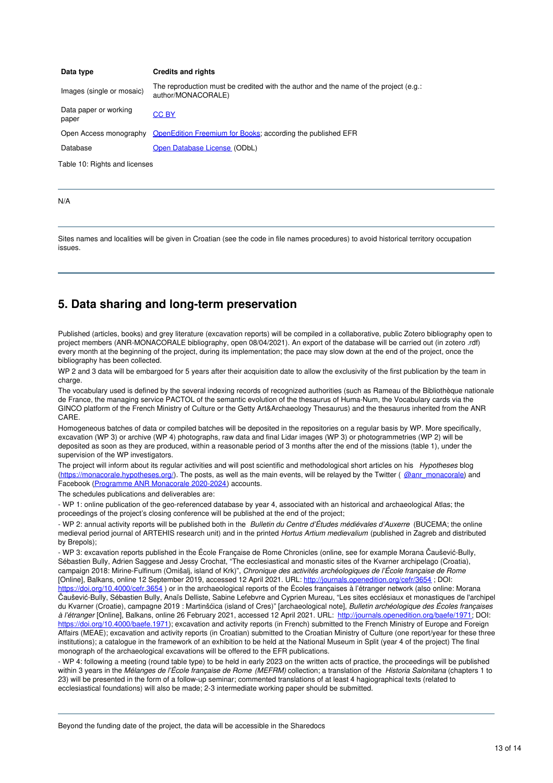| Data type                      | <b>Credits and rights</b>                                                                                  |
|--------------------------------|------------------------------------------------------------------------------------------------------------|
| Images (single or mosaic)      | The reproduction must be credited with the author and the name of the project (e.g.:<br>author/MONACORALE) |
| Data paper or working<br>paper | <b>CC BY</b>                                                                                               |
|                                | Open Access monography OpenEdition Freemium for Books; according the published EFR                         |
| Database                       | Open Database License (ODbL)                                                                               |

Table 10: Rights and licenses

N/A

Sites names and localities will be given in Croatian (see the code in file names procedures) to avoid historical territory occupation issues.

#### **5. Data sharing and long-term preservation**

Published (articles, books) and grey literature (excavation reports) will be compiled in a collaborative, public Zotero bibliography open to project members (ANR-MONACORALE bibliography, open 08/04/2021). An export of the database will be carried out (in zotero .rdf) every month at the beginning of the project, during its implementation; the pace may slow down at the end of the project, once the bibliography has been collected.

WP 2 and 3 data will be embargoed for 5 years after their acquisition date to allow the exclusivity of the first publication by the team in charge.

The vocabulary used is defined by the several indexing records of recognized authorities (such as Rameau of the Bibliothèque nationale de France, the managing service PACTOL of the semantic evolution of the thesaurus of Huma-Num, the Vocabulary cards via the GINCO platform of the French Ministry of Culture or the Getty Art&Archaeology Thesaurus) and the thesaurus inherited from the ANR CARE.

Homogeneous batches of data or compiled batches will be deposited in the repositories on a regular basis by WP. More specifically, excavation (WP 3) or archive (WP 4) photographs, raw data and final Lidar images (WP 3) or photogrammetries (WP 2) will be deposited as soon as they are produced, within a reasonable period of 3 months after the end of the missions (table 1), under the supervision of the WP investigators.

The project will inform about its regular activities and will post scientific and methodological short articles on his *Hypotheses* blog [\(https://monacorale.hypotheses.org/](https://monacorale.hypotheses.org/)). The posts, as well as the main events, will be relayed by the Twitter ([@anr\\_monacorale](https://twitter.com/anr_monacorale)) and Facebook [\(Programme](https://www.facebook.com/Programme-ANR-Monacorale-2020-2024-106187994933158/) ANR Monacorale 2020-2024) accounts.

The schedules publications and deliverables are:

- WP 1: online publication of the geo-referenced database by year 4, associated with an historical and archaeological Atlas; the proceedings of the project's closing conference will be published at the end of the project;

- WP 2: annual activity reports will be published both in the *Bulletin du Centre d'Études médiévales d'Auxerre* (BUCEMA; the online medieval period journal of ARTEHIS research unit) and in the printed *Hortus Artium medievalium* (published in Zagreb and distributed by Brepols);

- WP 3: excavation reports published in the École Française de Rome Chronicles (online, see for example Morana Čaušević-Bully, Sébastien Bully, Adrien Saggese and Jessy Crochat, "The ecclesiastical and monastic sites of the Kyarner archipelago (Croatia), campaign 2018: Mirine-Fulfinum (Omišalj, island of Krk)", *Chronique des activités archéologiques de l'École française de Rome* [Online], Balkans, online 12 September 2019, accessed 12 April 2021. URL: [http://journals.openedition.org/cefr/3654](http://journals.openedition.org/cefr/3654%20) ; DOI: [https://doi.org/10.4000/cefr.3654](https://doi.org/10.4000/cefr.3654%20)) or in the archaeological reports of the Écoles françaises à l'étranger network (also online: Morana Čaušević-Bully, Sébastien Bully, Anaïs Delliste, Sabine Lefebvre and Cyprien Mureau, "Les sites ecclésiaux et monastiques de l'archipel du Kvarner (Croatie), campagne 2019 : Martinšćica (island of Cres)" [archaeological note], *Bulletin archéologique des Écoles françaises à l'étranger* [Online], Balkans, online 26 February 2021, accessed 12 April 2021. URL: <http://journals.openedition.org/baefe/1971>; DOI: <https://doi.org/10.4000/baefe.1971>); excavation and activity reports (in French) submitted to the French Ministry of Europe and Foreign Affairs (MEAE); excavation and activity reports (in Croatian) submitted to the Croatian Ministry of Culture (one report/year for these three institutions); a catalogue in the framework of an exhibition to be held at the National Museum in Split (year 4 of the project) The final monograph of the archaeological excavations will be offered to the EFR publications.

- WP 4: following a meeting (round table type) to be held in early 2023 on the written acts of practice, the proceedings will be published within 3 years in the *Mélanges de l'École française de Rome (MEFRM)* collection; a translation of the *Historia Salonitana* (chapters 1 to 23) will be presented in the form of a follow-up seminar; commented translations of at least 4 hagiographical texts (related to ecclesiastical foundations) will also be made; 2-3 intermediate working paper should be submitted.